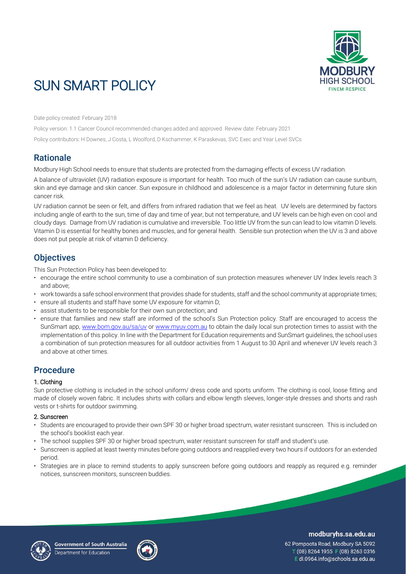

# SUN SMART POLICY

Date policy created: February 2018

Policy version: 1.1 Cancer Council recommended changes added and approved Review date: February 2021 Policy contributors: H Downes, J Costa, L Woolford, D Kschammer, K Paraskevas, SVC Exec and Year Level SVCs

## **Rationale**

Modbury High School needs to ensure that students are protected from the damaging effects of excess UV radiation.

A balance of ultraviolet (UV) radiation exposure is important for health. Too much of the sun's UV radiation can cause sunburn, skin and eye damage and skin cancer. Sun exposure in childhood and adolescence is a major factor in determining future skin cancer risk.

UV radiation cannot be seen or felt, and differs from infrared radiation that we feel as heat. UV levels are determined by factors including angle of earth to the sun, time of day and time of year, but not temperature, and UV levels can be high even on cool and cloudy days. Damage from UV radiation is cumulative and irreversible. Too little UV from the sun can lead to low vitamin D levels. Vitamin D is essential for healthy bones and muscles, and for general health. Sensible sun protection when the UV is 3 and above does not put people at risk of vitamin D deficiency.

## **Objectives**

This Sun Protection Policy has been developed to:

- encourage the entire school community to use a combination of sun protection measures whenever UV Index levels reach 3 and above;
- work towards a safe school environment that provides shade for students, staff and the school community at appropriate times;
- ensure all students and staff have some UV exposure for vitamin D;
- assist students to be responsible for their own sun protection; and
- ensure that families and new staff are informed of the school's Sun Protection policy. Staff are encouraged to access the SunSmart app, [www.bom.gov.au/sa/uv](http://www.bom.gov.au/sa/uv) or [www.myuv.com.au](http://www.myuv.com.au/) to obtain the daily local sun protection times to assist with the implementation of this policy. In line with the Department for Education requirements and SunSmart guidelines, the school uses a combination of sun protection measures for all outdoor activities from 1 August to 30 April and whenever UV levels reach 3 and above at other times.

# Procedure

### 1. Clothing

Sun protective clothing is included in the school uniform/ dress code and sports uniform. The clothing is cool, loose fitting and made of closely woven fabric. It includes shirts with collars and elbow length sleeves, longer-style dresses and shorts and rash vests or t-shirts for outdoor swimming.

### 2. Sunscreen

- Students are encouraged to provide their own SPF 30 or higher broad spectrum, water resistant sunscreen. This is included on the school's booklist each year.
- The school supplies SPF 30 or higher broad spectrum, water resistant sunscreen for staff and student's use.
- Sunscreen is applied at least twenty minutes before going outdoors and reapplied every two hours if outdoors for an extended period.
- Strategies are in place to remind students to apply sunscreen before going outdoors and reapply as required e.g. reminder notices, sunscreen monitors, sunscreen buddies.





### modburyhs.sa.edu.au

62 Pompoota Road, Modbury SA 5092 T (08) 8264 1955 F (08) 8263 0316 E dl.0964.info@schools.sa.edu.au